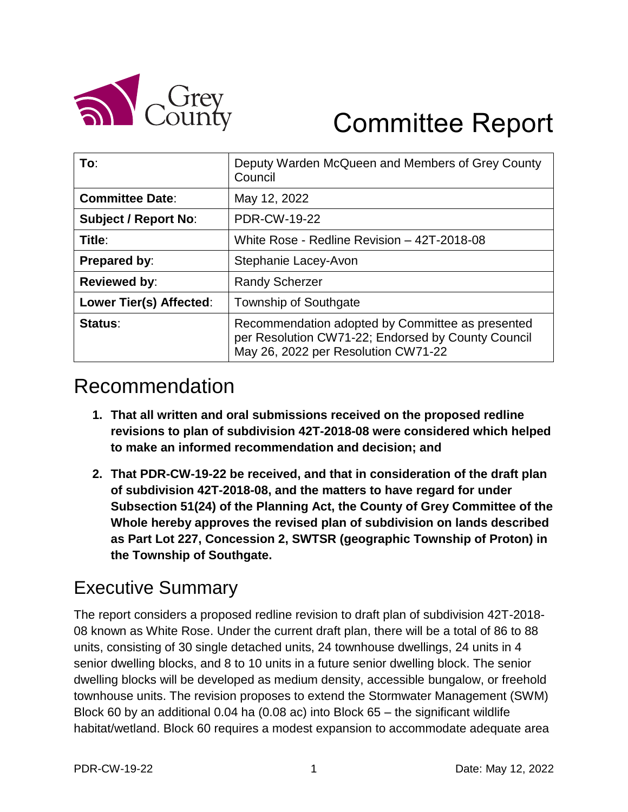

# Committee Report

| To:                         | Deputy Warden McQueen and Members of Grey County<br>Council                                                                                   |
|-----------------------------|-----------------------------------------------------------------------------------------------------------------------------------------------|
| <b>Committee Date:</b>      | May 12, 2022                                                                                                                                  |
| <b>Subject / Report No:</b> | <b>PDR-CW-19-22</b>                                                                                                                           |
| Title:                      | White Rose - Redline Revision - 42T-2018-08                                                                                                   |
| <b>Prepared by:</b>         | Stephanie Lacey-Avon                                                                                                                          |
| <b>Reviewed by:</b>         | <b>Randy Scherzer</b>                                                                                                                         |
| Lower Tier(s) Affected:     | <b>Township of Southgate</b>                                                                                                                  |
| Status:                     | Recommendation adopted by Committee as presented<br>per Resolution CW71-22; Endorsed by County Council<br>May 26, 2022 per Resolution CW71-22 |

# Recommendation

- **1. That all written and oral submissions received on the proposed redline revisions to plan of subdivision 42T-2018-08 were considered which helped to make an informed recommendation and decision; and**
- **2. That PDR-CW-19-22 be received, and that in consideration of the draft plan of subdivision 42T-2018-08, and the matters to have regard for under Subsection 51(24) of the Planning Act, the County of Grey Committee of the Whole hereby approves the revised plan of subdivision on lands described as Part Lot 227, Concession 2, SWTSR (geographic Township of Proton) in the Township of Southgate.**

## Executive Summary

The report considers a proposed redline revision to draft plan of subdivision 42T-2018- 08 known as White Rose. Under the current draft plan, there will be a total of 86 to 88 units, consisting of 30 single detached units, 24 townhouse dwellings, 24 units in 4 senior dwelling blocks, and 8 to 10 units in a future senior dwelling block. The senior dwelling blocks will be developed as medium density, accessible bungalow, or freehold townhouse units. The revision proposes to extend the Stormwater Management (SWM) Block 60 by an additional 0.04 ha (0.08 ac) into Block 65 – the significant wildlife habitat/wetland. Block 60 requires a modest expansion to accommodate adequate area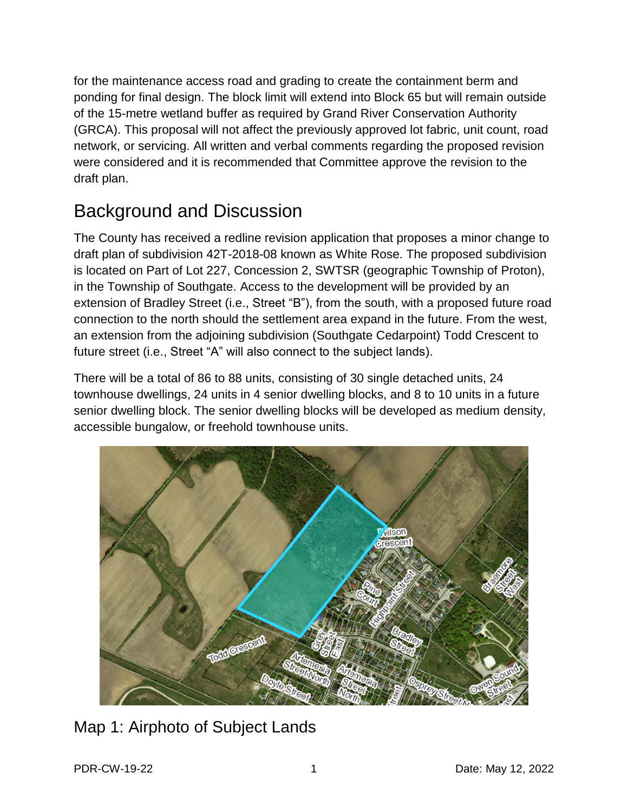for the maintenance access road and grading to create the containment berm and ponding for final design. The block limit will extend into Block 65 but will remain outside of the 15-metre wetland buffer as required by Grand River Conservation Authority (GRCA). This proposal will not affect the previously approved lot fabric, unit count, road network, or servicing. All written and verbal comments regarding the proposed revision were considered and it is recommended that Committee approve the revision to the draft plan.

# Background and Discussion

The County has received a redline revision application that proposes a minor change to draft plan of subdivision 42T-2018-08 known as White Rose. The proposed subdivision is located on Part of Lot 227, Concession 2, SWTSR (geographic Township of Proton), in the Township of Southgate. Access to the development will be provided by an extension of Bradley Street (i.e., Street "B"), from the south, with a proposed future road connection to the north should the settlement area expand in the future. From the west, an extension from the adjoining subdivision (Southgate Cedarpoint) Todd Crescent to future street (i.e., Street "A" will also connect to the subject lands).

There will be a total of 86 to 88 units, consisting of 30 single detached units, 24 townhouse dwellings, 24 units in 4 senior dwelling blocks, and 8 to 10 units in a future senior dwelling block. The senior dwelling blocks will be developed as medium density, accessible bungalow, or freehold townhouse units.



### Map 1: Airphoto of Subject Lands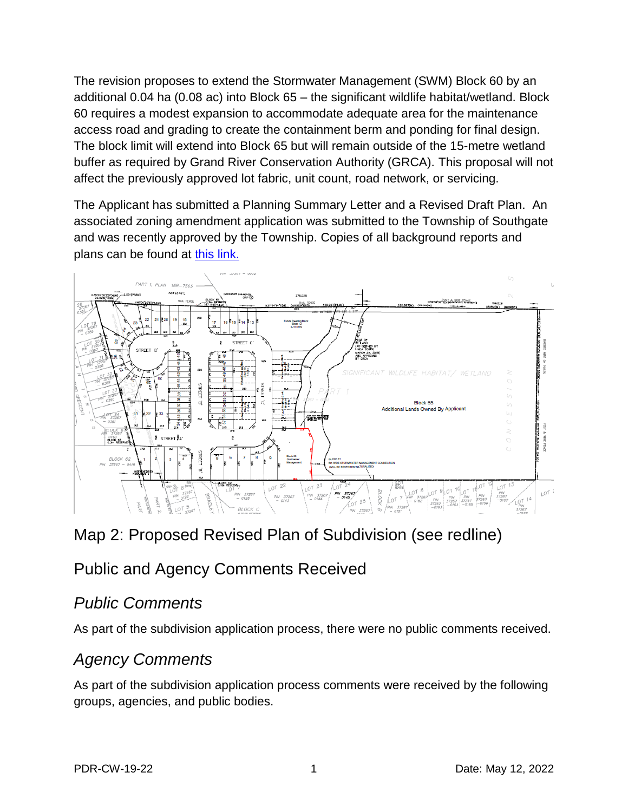The revision proposes to extend the Stormwater Management (SWM) Block 60 by an additional 0.04 ha (0.08 ac) into Block 65 – the significant wildlife habitat/wetland. Block 60 requires a modest expansion to accommodate adequate area for the maintenance access road and grading to create the containment berm and ponding for final design. The block limit will extend into Block 65 but will remain outside of the 15-metre wetland buffer as required by Grand River Conservation Authority (GRCA). This proposal will not affect the previously approved lot fabric, unit count, road network, or servicing.

The Applicant has submitted a Planning Summary Letter and a Revised Draft Plan. An associated zoning amendment application was submitted to the Township of Southgate and was recently approved by the Township. Copies of all background reports and plans can be found at [this link.](https://www.grey.ca/planning-development/planning-applications)



### Map 2: Proposed Revised Plan of Subdivision (see redline)

### Public and Agency Comments Received

#### *Public Comments*

As part of the subdivision application process, there were no public comments received.

### *Agency Comments*

As part of the subdivision application process comments were received by the following groups, agencies, and public bodies.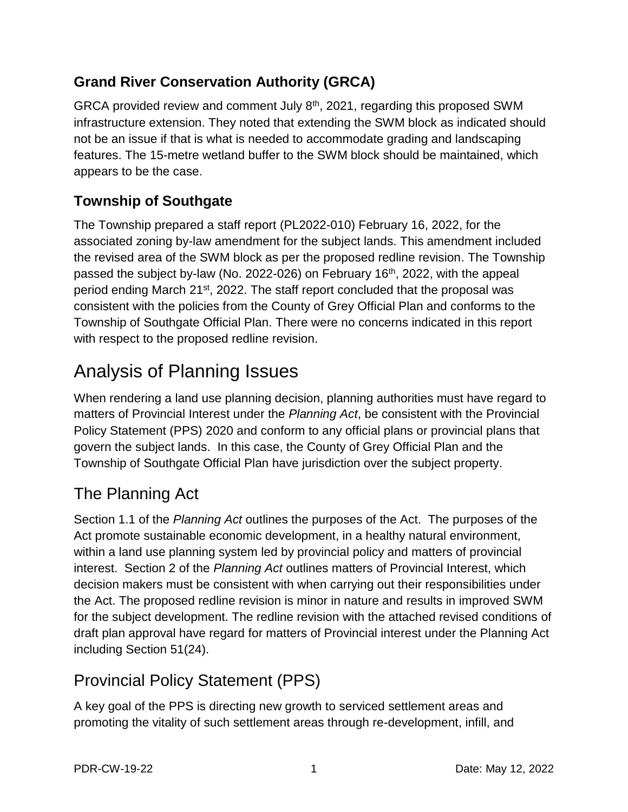#### **Grand River Conservation Authority (GRCA)**

GRCA provided review and comment July 8th, 2021, regarding this proposed SWM infrastructure extension. They noted that extending the SWM block as indicated should not be an issue if that is what is needed to accommodate grading and landscaping features. The 15-metre wetland buffer to the SWM block should be maintained, which appears to be the case.

### **Township of Southgate**

The Township prepared a staff report (PL2022-010) February 16, 2022, for the associated zoning by-law amendment for the subject lands. This amendment included the revised area of the SWM block as per the proposed redline revision. The Township passed the subject by-law (No. 2022-026) on February 16<sup>th</sup>, 2022, with the appeal period ending March 21<sup>st</sup>, 2022. The staff report concluded that the proposal was consistent with the policies from the County of Grey Official Plan and conforms to the Township of Southgate Official Plan. There were no concerns indicated in this report with respect to the proposed redline revision.

# Analysis of Planning Issues

When rendering a land use planning decision, planning authorities must have regard to matters of Provincial Interest under the *Planning Act*, be consistent with the Provincial Policy Statement (PPS) 2020 and conform to any official plans or provincial plans that govern the subject lands. In this case, the County of Grey Official Plan and the Township of Southgate Official Plan have jurisdiction over the subject property.

### The Planning Act

Section 1.1 of the *Planning Act* outlines the purposes of the Act. The purposes of the Act promote sustainable economic development, in a healthy natural environment, within a land use planning system led by provincial policy and matters of provincial interest. Section 2 of the *Planning Act* outlines matters of Provincial Interest, which decision makers must be consistent with when carrying out their responsibilities under the Act. The proposed redline revision is minor in nature and results in improved SWM for the subject development. The redline revision with the attached revised conditions of draft plan approval have regard for matters of Provincial interest under the Planning Act including Section 51(24).

### Provincial Policy Statement (PPS)

A key goal of the PPS is directing new growth to serviced settlement areas and promoting the vitality of such settlement areas through re-development, infill, and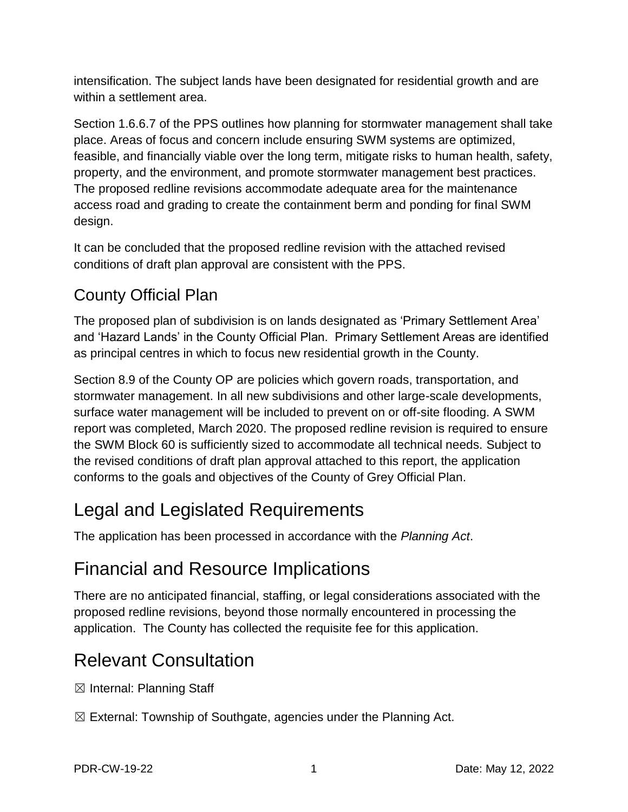intensification. The subject lands have been designated for residential growth and are within a settlement area.

Section 1.6.6.7 of the PPS outlines how planning for stormwater management shall take place. Areas of focus and concern include ensuring SWM systems are optimized, feasible, and financially viable over the long term, mitigate risks to human health, safety, property, and the environment, and promote stormwater management best practices. The proposed redline revisions accommodate adequate area for the maintenance access road and grading to create the containment berm and ponding for final SWM design.

It can be concluded that the proposed redline revision with the attached revised conditions of draft plan approval are consistent with the PPS.

## County Official Plan

The proposed plan of subdivision is on lands designated as 'Primary Settlement Area' and 'Hazard Lands' in the County Official Plan. Primary Settlement Areas are identified as principal centres in which to focus new residential growth in the County.

Section 8.9 of the County OP are policies which govern roads, transportation, and stormwater management. In all new subdivisions and other large-scale developments, surface water management will be included to prevent on or off-site flooding. A SWM report was completed, March 2020. The proposed redline revision is required to ensure the SWM Block 60 is sufficiently sized to accommodate all technical needs. Subject to the revised conditions of draft plan approval attached to this report, the application conforms to the goals and objectives of the County of Grey Official Plan.

# Legal and Legislated Requirements

The application has been processed in accordance with the *Planning Act*.

# Financial and Resource Implications

There are no anticipated financial, staffing, or legal considerations associated with the proposed redline revisions, beyond those normally encountered in processing the application. The County has collected the requisite fee for this application.

# Relevant Consultation

 $\boxtimes$  Internal: Planning Staff

 $\boxtimes$  External: Township of Southgate, agencies under the Planning Act.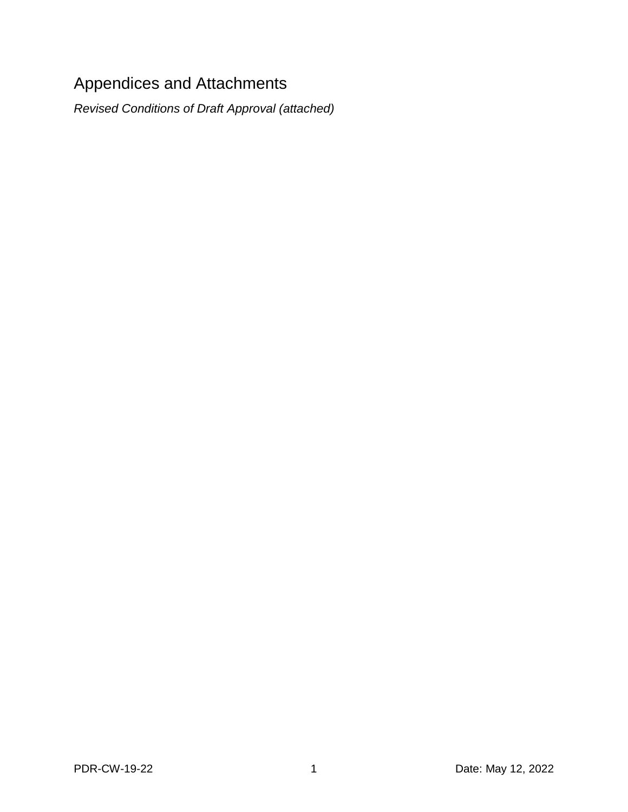# Appendices and Attachments

*Revised Conditions of Draft Approval (attached)*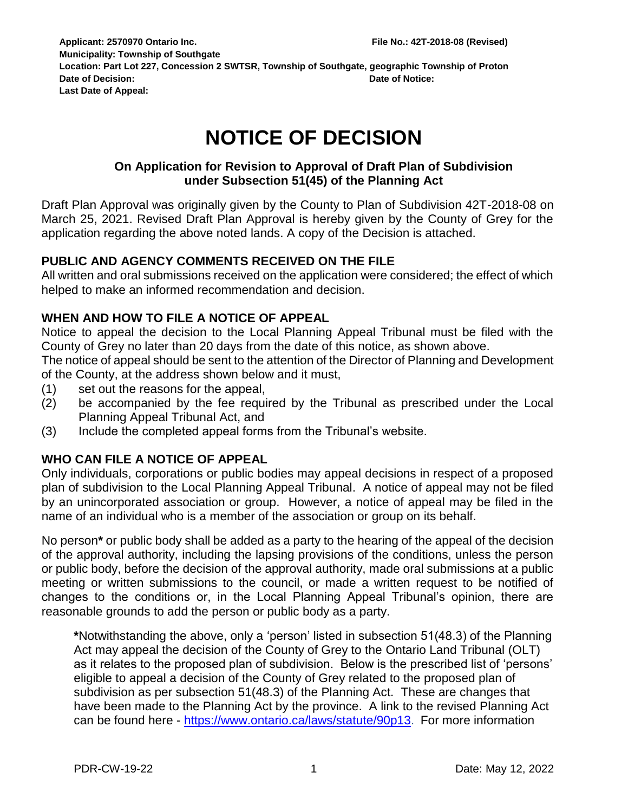**Applicant: 2570970 Ontario Inc. File No.: 42T-2018-08 (Revised) Municipality: Township of Southgate Location: Part Lot 227, Concession 2 SWTSR, Township of Southgate, geographic Township of Proton Date of Decision: Date of Notice: Last Date of Appeal:**

# **NOTICE OF DECISION**

#### **On Application for Revision to Approval of Draft Plan of Subdivision under Subsection 51(45) of the Planning Act**

Draft Plan Approval was originally given by the County to Plan of Subdivision 42T-2018-08 on March 25, 2021. Revised Draft Plan Approval is hereby given by the County of Grey for the application regarding the above noted lands. A copy of the Decision is attached.

#### **PUBLIC AND AGENCY COMMENTS RECEIVED ON THE FILE**

All written and oral submissions received on the application were considered; the effect of which helped to make an informed recommendation and decision.

#### **WHEN AND HOW TO FILE A NOTICE OF APPEAL**

Notice to appeal the decision to the Local Planning Appeal Tribunal must be filed with the County of Grey no later than 20 days from the date of this notice, as shown above.

The notice of appeal should be sent to the attention of the Director of Planning and Development of the County, at the address shown below and it must,

- (1) set out the reasons for the appeal,
- (2) be accompanied by the fee required by the Tribunal as prescribed under the Local Planning Appeal Tribunal Act, and
- (3) Include the completed appeal forms from the Tribunal's website.

#### **WHO CAN FILE A NOTICE OF APPEAL**

Only individuals, corporations or public bodies may appeal decisions in respect of a proposed plan of subdivision to the Local Planning Appeal Tribunal. A notice of appeal may not be filed by an unincorporated association or group. However, a notice of appeal may be filed in the name of an individual who is a member of the association or group on its behalf.

No person**\*** or public body shall be added as a party to the hearing of the appeal of the decision of the approval authority, including the lapsing provisions of the conditions, unless the person or public body, before the decision of the approval authority, made oral submissions at a public meeting or written submissions to the council, or made a written request to be notified of changes to the conditions or, in the Local Planning Appeal Tribunal's opinion, there are reasonable grounds to add the person or public body as a party.

**\***Notwithstanding the above, only a 'person' listed in subsection 51(48.3) of the Planning Act may appeal the decision of the County of Grey to the Ontario Land Tribunal (OLT) as it relates to the proposed plan of subdivision. Below is the prescribed list of 'persons' eligible to appeal a decision of the County of Grey related to the proposed plan of subdivision as per subsection 51(48.3) of the Planning Act. These are changes that have been made to the Planning Act by the province. A link to the revised Planning Act can be found here - <https://www.ontario.ca/laws/statute/90p13>. For more information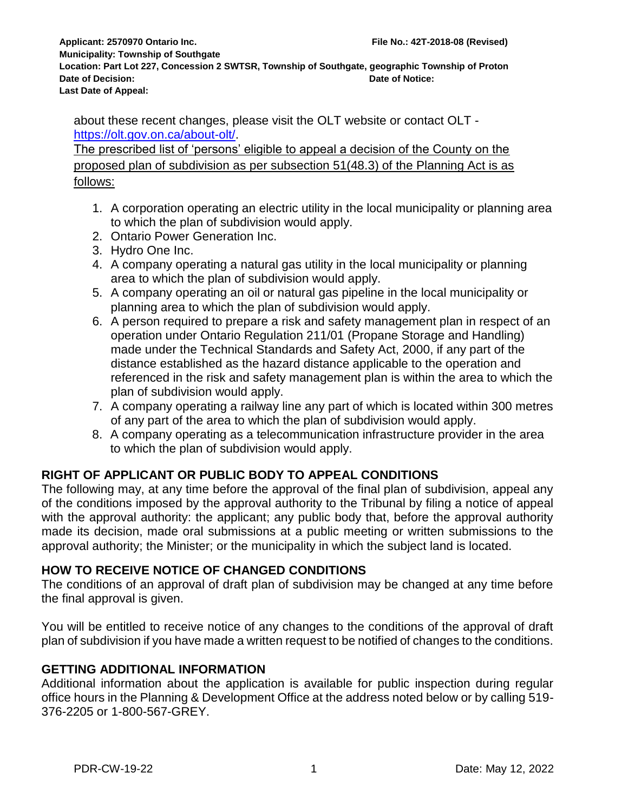**Municipality: Township of Southgate Location: Part Lot 227, Concession 2 SWTSR, Township of Southgate, geographic Township of Proton Date of Decision: Date of Notice: Last Date of Appeal:**

about these recent changes, please visit the OLT website or contact OLT [https://olt.gov.on.ca/about-olt/.](https://olt.gov.on.ca/about-olt/)

The prescribed list of 'persons' eligible to appeal a decision of the County on the proposed plan of subdivision as per subsection 51(48.3) of the Planning Act is as follows:

- 1. A corporation operating an electric utility in the local municipality or planning area to which the plan of subdivision would apply.
- 2. Ontario Power Generation Inc.
- 3. Hydro One Inc.
- 4. A company operating a natural gas utility in the local municipality or planning area to which the plan of subdivision would apply.
- 5. A company operating an oil or natural gas pipeline in the local municipality or planning area to which the plan of subdivision would apply.
- 6. A person required to prepare a risk and safety management plan in respect of an operation under Ontario Regulation 211/01 (Propane Storage and Handling) made under the Technical Standards and Safety Act, 2000, if any part of the distance established as the hazard distance applicable to the operation and referenced in the risk and safety management plan is within the area to which the plan of subdivision would apply.
- 7. A company operating a railway line any part of which is located within 300 metres of any part of the area to which the plan of subdivision would apply.
- 8. A company operating as a telecommunication infrastructure provider in the area to which the plan of subdivision would apply.

#### **RIGHT OF APPLICANT OR PUBLIC BODY TO APPEAL CONDITIONS**

The following may, at any time before the approval of the final plan of subdivision, appeal any of the conditions imposed by the approval authority to the Tribunal by filing a notice of appeal with the approval authority: the applicant; any public body that, before the approval authority made its decision, made oral submissions at a public meeting or written submissions to the approval authority; the Minister; or the municipality in which the subject land is located.

#### **HOW TO RECEIVE NOTICE OF CHANGED CONDITIONS**

The conditions of an approval of draft plan of subdivision may be changed at any time before the final approval is given.

You will be entitled to receive notice of any changes to the conditions of the approval of draft plan of subdivision if you have made a written request to be notified of changes to the conditions.

#### **GETTING ADDITIONAL INFORMATION**

Additional information about the application is available for public inspection during regular office hours in the Planning & Development Office at the address noted below or by calling 519- 376-2205 or 1-800-567-GREY.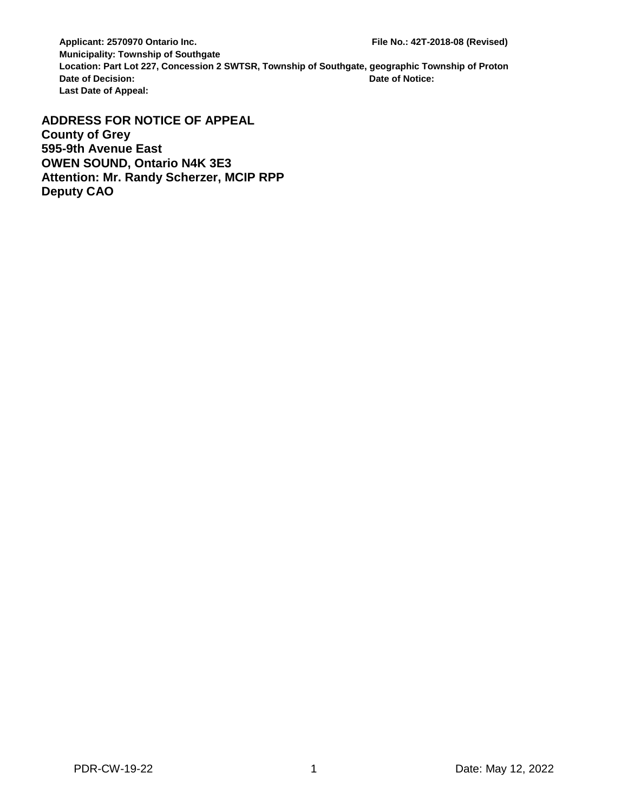**Applicant: 2570970 Ontario Inc. File No.: 42T-2018-08 (Revised) Municipality: Township of Southgate Location: Part Lot 227, Concession 2 SWTSR, Township of Southgate, geographic Township of Proton Date of Decision: Date of Notice: Last Date of Appeal:**

**ADDRESS FOR NOTICE OF APPEAL County of Grey 595-9th Avenue East OWEN SOUND, Ontario N4K 3E3 Attention: Mr. Randy Scherzer, MCIP RPP Deputy CAO**